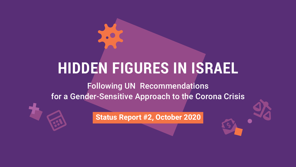# **HIDDEN FIGURES IN ISRAEL** Following UN Recommendations for a Gender-Sensitive Approach to the Corona Crisis

virus

calculator

dollar-open-envelope

**+**

**2020 Status Report #2, October 2020** 

right-scale-balance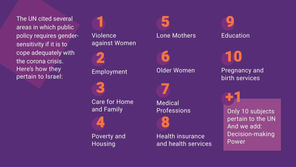Poverty and Housing 4

Older Women 6

# Lone Mothers 5

3

**Care for Home** and Family

Medical [Professions](#page-8-0)

7

8

Health insurance and health services Only 10 subjects pertain to the UN And we add: Decision-making Power



[10](#page-11-0)

The UN cited several areas in which public policy requires gender-<br>sensitivity if it is to cope adequately with the corona crisis. Here's how they pertain to Israel:

Violence against Women 1



[+1](#page-11-0)

**Pregnancy and** birth services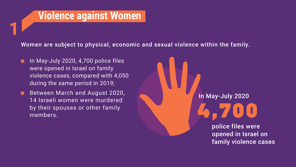# *Violence against Women*

Women are subject to physical, economic and sexual violence within the family.

<span id="page-2-0"></span>**1**

- **Film May-July 2020, 4,700 police files** were opened in Israel on family violence cases, compared with 4,050 during the same period in 2019;
- Between March and August 2020, 14 Israeli women were murdered by their spouses or other family 14 Israeli women were murdered<br>by their spouses or other family<br>members.<br>**Analysis of the war**



### In May-July 2020

police files were opened in Israel on family violence cases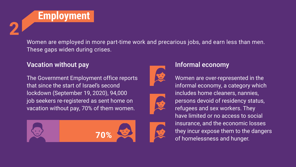<span id="page-3-0"></span>

These gaps widen during crises.

### Vacation without pay without  $\blacksquare$  Informal economy

The Government Employment office reports that since the start of Israel's second lockdown (September 19, 2020), 94,000 job seekers re-registered as sent home on vacation without pay, 70% of them women.



### Women are employed in more part-time work and precarious jobs, and earn less than men.







Women are over-represented in the informal economy, a category which includes home cleaners, nannies, persons devoid of residency status, refugees and sex workers. They have limited or no access to social insurance, and the economic losses they incur expose them to the dangers of homelessness and hunger.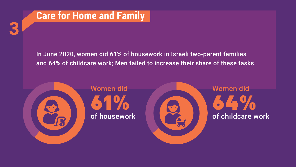

# Women did

<span id="page-4-0"></span>**3**



# In June 2020, women did 61% of housework in Israeli two-parent families and 64% of childcare work; Men failed to increase their share of these tasks.

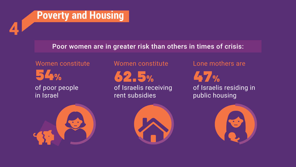# **Poverty and Housing**

### Poor women are in greater risk than others in times of crisis:

**54%** of poor people in Israel Women constitute

<span id="page-5-0"></span>**4**

**62.5%** rent subsidies



- Women constitute
- of Israelis receiving

### Lone mothers are

**47%** of Israelis residing in public housing



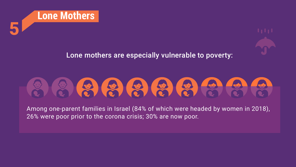<span id="page-6-0"></span>

# Lone mothers are especially vulnerable to poverty:



Among one-parent families in Israel (84% of which were headed by women in 2018), 26% were poor prior to the corona crisis; 30% are now poor.

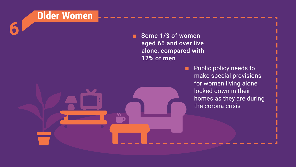

Some 1/3 of women aged 65 and over live alone, compared with 12% of men

> **E** Public policy needs to make special provisions for women living alone, locked down in their homes as they are during the corona crisis

<span id="page-7-0"></span>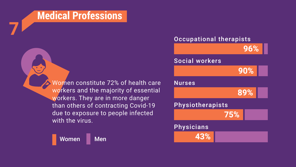# **Medical Professions**

Women constitute 72% of health care workers and the majority of essential workers. They are in more danger than others of contracting Covid-19 due to exposure to people infected with the virus.



<span id="page-8-0"></span>**7**



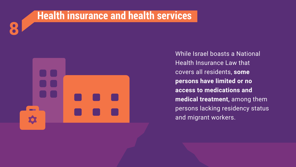<span id="page-9-0"></span>

# **CONTRACTOR**

While Israel boasts a National Health Insurance Law that covers all residents, some **persons have limited or no access to medications and** medical treatment, among them persons lacking residency status and migrant workers.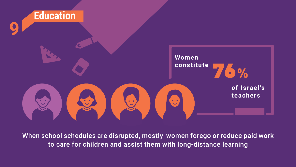<span id="page-10-0"></span>

When school schedules are disrupted, mostly women forego or reduce paid work to care for children and assist them with long-distance learning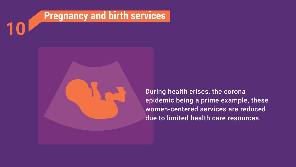<span id="page-11-0"></span>



During health crises, the corona epidemic being a prime example, these women-centered services are reduced due to limited health care resources.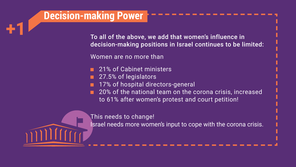# **Decision-making Power**

<span id="page-12-0"></span>**+1**

\_\_\_\_\_\_\_\_\_\_\_\_\_\_\_\_\_

Women are no more than

- 21% of Cabinet ministers
- 27.5% of legislators
- 17% of hospital directors-general
- $\blacksquare$  20% of the national team on the corona crisis, increased to 61% after women's protest and court petition!
- 

This needs to change!

- To all of the above, we add that women's influence in decision-making positions in Israel continues to be limited:
	-

- 
- Israel needs more women's input to cope with the corona crisis.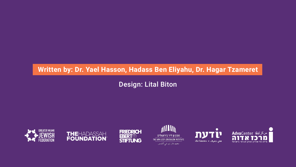# Written by: Dr. Yael Hasson, Hadass Ben Eliyahu, Dr. Hagar Tzameret







# Design: Lital Biton